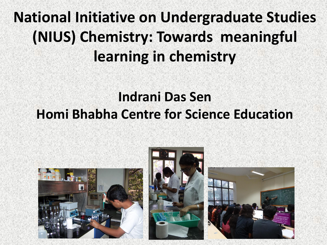### **National Initiative on Undergraduate Studies (NIUS) Chemistry: Towards meaningful learning in chemistry**

#### **Indrani Das Sen Homi Bhabha Centre for Science Education**

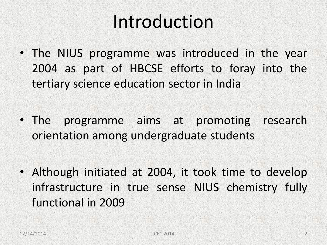## Introduction

- The NIUS programme was introduced in the year 2004 as part of HBCSE efforts to foray into the tertiary science education sector in India
- The programme aims at promoting research orientation among undergraduate students
- Although initiated at 2004, it took time to develop infrastructure in true sense NIUS chemistry fully functional in 2009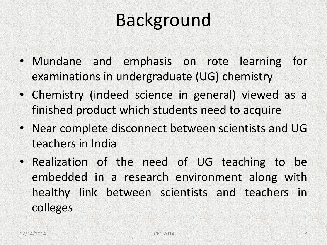# Background

- Mundane and emphasis on rote learning for examinations in undergraduate (UG) chemistry
- Chemistry (indeed science in general) viewed as a finished product which students need to acquire
- Near complete disconnect between scientists and UG teachers in India
- Realization of the need of UG teaching to be embedded in a research environment along with healthy link between scientists and teachers in colleges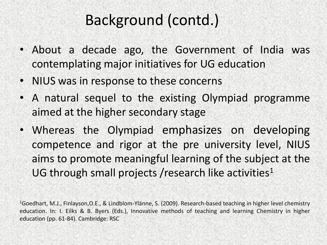#### Background (contd.)

- About a decade ago, the Government of India was contemplating major initiatives for UG education
- NIUS was in response to these concerns
- A natural sequel to the existing Olympiad programme aimed at the higher secondary stage
- Whereas the Olympiad emphasizes on developing competence and rigor at the pre university level, NIUS aims to promote meaningful learning of the subject at the UG through small projects / research like activities<sup>1</sup>

<sup>1</sup>Goedhart, M.J., Finlayson,O.E., & Lindblom-Ylänne, S. (2009). Research-based teaching in higher level chemistry education. In: I. Eilks & B. Byers (Eds.), Innovative methods of teaching and learning Chemistry in higher education (pp. 61-84). Cambridge: RSC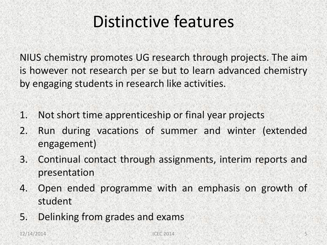### Distinctive features

NIUS chemistry promotes UG research through projects. The aim is however not research per se but to learn advanced chemistry by engaging students in research like activities.

- 1. Not short time apprenticeship or final year projects
- 2. Run during vacations of summer and winter (extended engagement)
- 3. Continual contact through assignments, interim reports and presentation
- 4. Open ended programme with an emphasis on growth of student
- 5. Delinking from grades and exams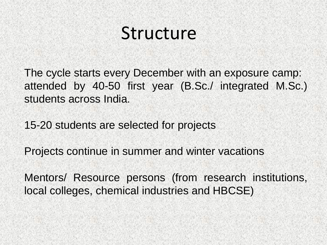## Structure

The cycle starts every December with an exposure camp: attended by 40-50 first year (B.Sc./ integrated M.Sc.) students across India.

15-20 students are selected for projects

Projects continue in summer and winter vacations Mentors/ Resource persons (from research institutions, local colleges, chemical industries and HBCSE)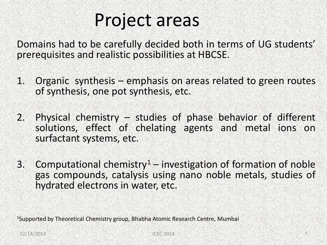### Project areas

Domains had to be carefully decided both in terms of UG students' prerequisites and realistic possibilities at HBCSE.

- 1. Organic synthesis emphasis on areas related to green routes of synthesis, one pot synthesis, etc.
- 2. Physical chemistry studies of phase behavior of different solutions, effect of chelating agents and metal ions on surfactant systems, etc.
- 3. Computational chemistry<sup>1</sup> investigation of formation of noble gas compounds, catalysis using nano noble metals, studies of hydrated electrons in water, etc.

<sup>1</sup>Supported by Theoretical Chemistry group, Bhabha Atomic Research Centre, Mumbai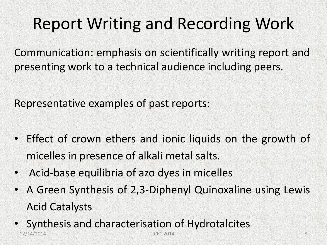### Report Writing and Recording Work

Communication: emphasis on scientifically writing report and presenting work to a technical audience including peers.

Representative examples of past reports:

- Effect of crown ethers and ionic liquids on the growth of micelles in presence of alkali metal salts.
- Acid-base equilibria of azo dyes in micelles
- A Green Synthesis of 2,3-Diphenyl Quinoxaline using Lewis Acid Catalysts
- Synthesis and characterisation of Hydrotalcites 12/14/2014 **ICEC 2014 ICEC 2014 ICEC 2014 8**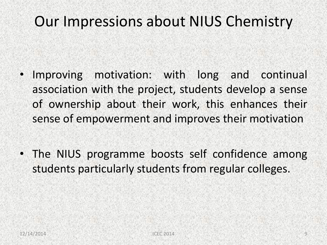#### Our Impressions about NIUS Chemistry

- Improving motivation: with long and continual association with the project, students develop a sense of ownership about their work, this enhances their sense of empowerment and improves their motivation
- The NIUS programme boosts self confidence among students particularly students from regular colleges.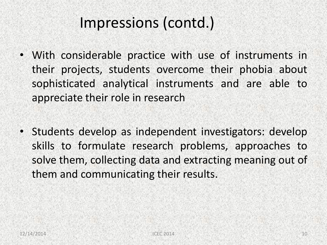#### Impressions (contd.)

- With considerable practice with use of instruments in their projects, students overcome their phobia about sophisticated analytical instruments and are able to appreciate their role in research
- Students develop as independent investigators: develop skills to formulate research problems, approaches to solve them, collecting data and extracting meaning out of them and communicating their results.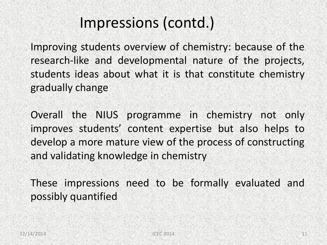#### Impressions (contd.)

Improving students overview of chemistry: because of the research-like and developmental nature of the projects, students ideas about what it is that constitute chemistry gradually change

Overall the NIUS programme in chemistry not only improves students' content expertise but also helps to develop a more mature view of the process of constructing and validating knowledge in chemistry

These impressions need to be formally evaluated and possibly quantified